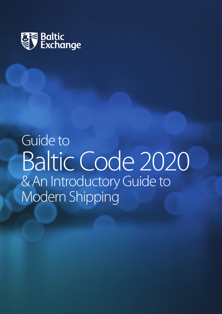

**Guide to** Baltic Code 2020 & An Introductory Guide to Modern Shipping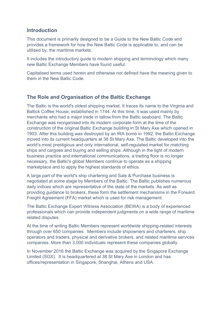# **Introduction**

This document is primarily designed to be a Guide to the New Baltic Code and provides a framework for how the New Baltic Code is applicable to, and can be utilised by, the maritime markets.

It includes the introductory guide to modern shipping and terminology which many new Baltic Exchange Members have found useful.

Capitalised terms used herein and otherwise not defined have the meaning given to them in the New Baltic Code.

# **The Role and Organisation of the Baltic Exchange**

The Baltic is the world's oldest shipping market. It traces its name to the Virginia and Baltick Coffee House, established in 1744. At this time, it was used mainly by merchants who had a major trade in tallow from the Baltic seaboard. The Baltic Exchange was reorganised into its modern corporate form at the time of the construction of the original Baltic Exchange building in St Mary Axe which opened in 1903. After this building was destroyed by an IRA bomb in 1992, the Baltic Exchange moved into its current headquarters at 38 St Mary Axe. The Baltic developed into the world's most prestigious and only international, self-regulated market for matching ships and cargoes and buying and selling ships. Although in the light of modern business practice and international communications, a trading floor is no longer necessary, the Baltic's global Members continue to operate as a shipping marketplace and to apply the highest standards of ethics.

A large part of the world's ship chartering and Sale & Purchase business is negotiated at some stage by Members of the Baltic. The Baltic publishes numerous daily indices which are representative of the state of the markets. As well as providing guidance to brokers, these form the settlement mechanisms in the Forward Freight Agreement (FFA) market which is used for risk management.

The Baltic Exchange Expert Witness Association (BEWA) is a body of experienced professionals which can provide independent judgments on a wide range of maritime related disputes.

At the time of writing Baltic Members represent worldwide shipping-related interests through over 650 companies. Members include shipowners and charterers, ship operators and traders, physical and derivative brokers, and related maritime services companies. More than 3,000 individuals represent these companies globally.

In November 2016 the Baltic Exchange was acquired by the Singapore Exchange Limited (SGX). It is headquartered at 38 St Mary Axe in London and has offices/representation in Singapore, Shanghai, Athens and USA.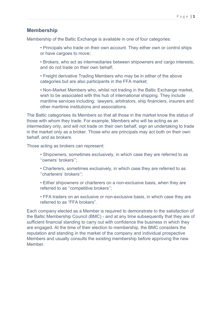# **Membership**

Membership of the Baltic Exchange is available in one of four categories:

• Principals who trade on their own account. They either own or control ships or have cargoes to move;

• Brokers, who act as intermediaries between shipowners and cargo interests, and do not trade on their own behalf;

• Freight derivative Trading Members who may be in either of the above categories but are also participants in the FFA market;

• Non-Market Members who, whilst not trading in the Baltic Exchange market, wish to be associated with this hub of international shipping. They include maritime services including; lawyers, arbitrators, ship financiers, insurers and other maritime institutions and associations.

The Baltic categorises its Members so that all those in the market know the status of those with whom they trade. For example, Members who will be acting as an intermediary only, and will not trade on their own behalf, sign an undertaking to trade in the market only as a broker. Those who are principals may act both on their own behalf, and as brokers.

Those acting as brokers can represent:

- Shipowners, sometimes exclusively, in which case they are referred to as ''owners' brokers'';
- Charterers, sometimes exclusively, in which case they are referred to as ''charterers' brokers'';
- Either shipowners or charterers on a non-exclusive basis, when they are referred to as ''competitive brokers'';
- FFA traders on an exclusive or non-exclusive basis, in which case they are referred to as "FFA brokers".

Each company elected as a Member is required to demonstrate to the satisfaction of the Baltic Membership Council (BMC) - and at any time subsequently that they are of sufficient financial standing to carry out with confidence the business in which they are engaged. At the time of their election to membership, the BMC considers the reputation and standing in the market of the company and individual prospective Members and usually consults the existing membership before approving the new Member.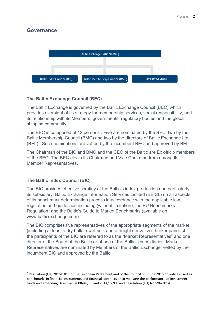# **Governance**



# **The Baltic Exchange Council (BEC)**

The Baltic Exchange is governed by the Baltic Exchange Council (BEC) which provides oversight of its strategy for membership services, social responsibility, and its relationship with its Members, governments, regulatory bodies and the global shipping community.

The BEC is composed of 12 persons . Five are nominated by the BEC, two by the Baltic Membership Council (BMC) and two by the directors of Baltic Exchange Ltd (BEL). Such nominations are vetted by the incumbent BEC and approved by BEL.

The Chairman of the BIC and BMC and the CEO of the Baltic are Ex officio members of the BEC. The BEC elects its Chairman and Vice Chairman from among its Member Representatives.

## **The Baltic Index Council (BIC)**

<u> 1989 - Johann Barn, mars ann an t-Amhain Aonaich ann an t-Aonaich ann an t-Aonaich ann an t-Aonaich ann an t-</u>

The BIC provides effective scrutiny of the Baltic's index production and particularly its subsidiary, Baltic Exchange Information Services Limited (BEISL) on all aspects of its benchmark determination process in accordance with the applicable law, regulation and guidelines including (without limitation), the EU Benchmarks Regulation<sup>1</sup> and the Baltic's Guide to Market Benchmarks (available on www.balticexchange.com).

The BIC comprises five representatives of the appropriate segments of the market (including at least a dry bulk, a wet bulk and a freight derivatives broker panellist – the participants of the BIC are referred to as the "Market Representatives" and one director of the Board of the Baltic or of one of the Baltic's subsidiaries. Market Representatives are nominated by Members of the Baltic Exchange, vetted by the incumbent BIC and approved by the Baltic.

 $1$  Regulation (EU) 2016/1011 of the European Parliament and of the Council of 8 June 2016 on indices used as benchmarks in financial instruments and financial contracts or to measure the performance of investment funds and amending Directives 2008/48/EC and 2014/17/EU and Regulation (EU) No 596/2014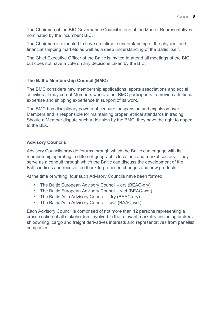The Chairman of the BIC Governance Council is one of the Market Representatives, nominated by the incumbent BIC.

The Chairman is expected to have an intimate understanding of the physical and financial shipping markets as well as a deep understanding of the Baltic itself.

The Chief Executive Officer of the Baltic is invited to attend all meetings of the BIC but does not have a vote on any decisions taken by the BIC.

## **The Baltic Membership Council (BMC)**

The BMC considers new membership applications, sports associations and social activities. It may co-opt Members who are not BMC participants to provide additional expertise and shipping experience in support of its work.

The BMC has disciplinary powers of censure, suspension and expulsion over Members and is responsible for maintaining proper, ethical standards in trading. Should a Member dispute such a decision by the BMC, they have the right to appeal to the BEC.

## **Advisory Councils**

Advisory Councils provide forums through which the Baltic can engage with its membership operating in different geographic locations and market sectors. They serve as a conduit through which the Baltic can discuss the development of the Baltic indices and receive feedback to proposed changes and new products.

At the time of writing, four such Advisory Councils have been formed:

- The Baltic European Advisory Council dry (BEAC-dry)
- The Baltic European Advisory Council wet (BEAC-wet)
- The Baltic Asia Advisory Council dry (BAAC-dry)
- The Baltic Asia Advisory Council wet (BAAC-wet)

Each Advisory Council is comprised of not more than 12 persons representing a cross-section of all stakeholders involved in the relevant market(s) including brokers, shipowning, cargo and freight derivatives interests and representatives from panellist companies.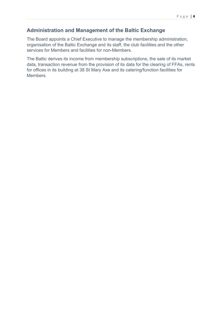# **Administration and Management of the Baltic Exchange**

The Board appoints a Chief Executive to manage the membership administration, organisation of the Baltic Exchange and its staff, the club facilities and the other services for Members and facilities for non-Members.

The Baltic derives its income from membership subscriptions, the sale of its market data, transaction revenue from the provision of its data for the clearing of FFAs, rents for offices in its building at 38 St Mary Axe and its catering/function facilities for Members.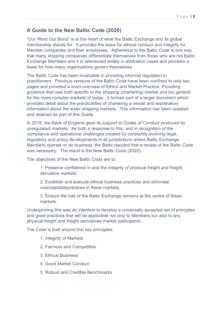# **A Guide to the New Baltic Code (2020)**

"Our Word Our Bond" is at the heart of what the Baltic Exchange and its global membership stands for. It provides the basis for ethical conduct and integrity for Member companies and their employees. Adherence to the Baltic Code is one way that many shipping companies differentiate themselves from those who are not Baltic Exchange Members and it is referenced widely in arbitration cases and provides a basis for how many organisations govern themselves.

The Baltic Code has been invaluable in providing informal regulation to practitioners. Previous versions of the Baltic Code have been confined to only two pages and provided a short overview of Ethics and Market Practice. Providing guidance that was both specific to the shipping (chartering) market and too general for the more complex markets of today. It formed part of a larger document which provided detail about the practicalities of chartering a vessel and explanatory information about the wider shipping markets. This information has been updated and retained as part of this Guide.

In 2018, the Bank of England gave its support to Codes of Conduct produced by unregulated markets. As both a response to this, and in recognition of the compliance and operational challenges created by constantly evolving legal, regulatory and policy developments in all jurisdictions where Baltic Exchange Members operate or do business, the Baltic decided that a review of the Baltic Code was necessary. The result is the New Baltic Code (2020).

The objectives of the New Baltic Code are to:

1. Preserve confidence in and the integrity of physical freight and freight derivative markets.

2. Establish and execute ethical business practices and eliminate unacceptablepractices in these markets.

3. Ensure the role of the Baltic Exchange remains at the centre of these markets.

Underpinning this was an intention to develop a universally accepted set of principles and good practices that will be applicable not only to Members but also to any physical freight and freight derivatives market participants.

The Code is built around five key principles:

- 1. Integrity of Markets
- 2. Fairness and Competition
- 3. Ethical Business
- 4. Good Market Conduct
- 5. Robust and Credible Benchmarks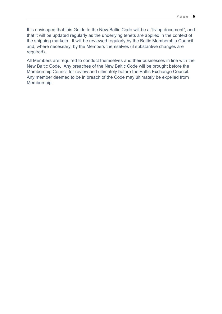It is envisaged that this Guide to the New Baltic Code will be a "living document", and that it will be updated regularly as the underlying tenets are applied in the context of the shipping markets. It will be reviewed regularly by the Baltic Membership Council and, where necessary, by the Members themselves (if substantive changes are required).

All Members are required to conduct themselves and their businesses in line with the New Baltic Code. Any breaches of the New Baltic Code will be brought before the Membership Council for review and ultimately before the Baltic Exchange Council. Any member deemed to be in breach of the Code may ultimately be expelled from Membership.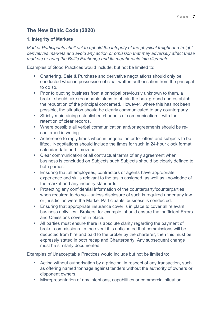# **The New Baltic Code (2020)**

## **1. Integrity of Markets**

*Market Participants shall act to uphold the integrity of the physical freight and freight derivatives markets and avoid any action or omission that may adversely affect these markets or bring the Baltic Exchange and its membership into disrepute.*

Examples of Good Practices would include, but not be limited to:

- Chartering, Sale & Purchase and derivative negotiations should only be conducted when in possession of clear written authorisation from the principal to do so.
- Prior to quoting business from a principal previously unknown to them, a broker should take reasonable steps to obtain the background and establish the reputation of the principal concerned. However, where this has not been possible, the situation should be clearly communicated to any counterparty.
- Strictly maintaining established channels of communication with the retention of clear records.
- Where possible all verbal communication and/or agreements should be reconfirmed in writing.
- Adherence to reply times when in negotiation or for offers and subjects to be lifted. Negotiations should include the times for such in 24-hour clock format, calendar date and timezone.
- Clear communication of all contractual terms of any agreement when business is concluded on Subjects such Subjects should be clearly defined to both parties.
- Ensuring that all employees, contractors or agents have appropriate experience and skills relevant to the tasks assigned, as well as knowledge of the market and any industry standards.
- Protecting any confidential information of the counterparty/counterparties when required to do so – unless disclosure of such is required under any law or jurisdiction were the Market Participants' business is conducted.
- Ensuring that appropriate insurance cover is in place to cover all relevant business activities. Brokers, for example, should ensure that sufficient Errors and Omissions cover is in place.
- All parties must ensure there is absolute clarity regarding the payment of broker commissions. In the event it is anticipated that commissions will be deducted from hire and paid to the broker by the charterer, then this must be expressly stated in both recap and Charterparty. Any subsequent change must be similarly documented.

Examples of Unacceptable Practices would include but not be limited to:

- Acting without authorisation by a principal in respect of any transaction, such as offering named tonnage against tenders without the authority of owners or disponent owners.
- Misrepresentation of any intentions, capabilities or commercial situation.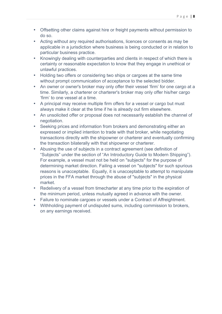- Offsetting other claims against hire or freight payments without permission to do so.
- Acting without any required authorisations, licences or consents as may be applicable in a jurisdiction where business is being conducted or in relation to particular business practice.
- Knowingly dealing with counterparties and clients in respect of which there is certainty or reasonable expectation to know that they engage in unethical or unlawful practices.
- Holding two offers or considering two ships or cargoes at the same time without prompt communication of acceptance to the selected bidder.
- An owner or owner's broker may only offer their vessel 'firm' for one cargo at a time. Similarly, a charterer or charterer's broker may only offer his/her cargo 'firm' to one vessel at a time.
- A principal may receive multiple firm offers for a vessel or cargo but must always make it clear at the time if he is already out firm elsewhere.
- An unsolicited offer or proposal does not necessarily establish the channel of negotiation.
- Seeking prices and information from brokers and demonstrating either an expressed or implied intention to trade with that broker, while negotiating transactions directly with the shipowner or charterer and eventually confirming the transaction bilaterally with that shipowner or charterer.
- Abusing the use of subjects in a contract agreement (see definition of "Subjects" under the section of "An Introductory Guide to Modern Shipping"). For example, a vessel must not be held on "subjects" for the purpose of determining market direction. Failing a vessel on "subjects" for such spurious reasons is unacceptable. Equally, it is unacceptable to attempt to manipulate prices in the FFA market through the abuse of "subjects" in the physical market.
- Redelivery of a vessel from timecharter at any time prior to the expiration of the minimum period, unless mutually agreed in advance with the owner.
- Failure to nominate cargoes or vessels under a Contract of Affreightment.
- Withholding payment of undisputed sums, including commission to brokers, on any earnings received.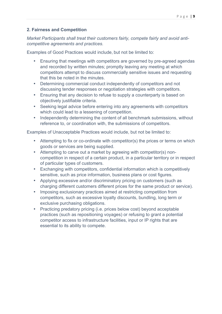## **2. Fairness and Competition**

*Market Participants shall treat their customers fairly, compete fairly and avoid anticompetitive agreements and practices.*

Examples of Good Practices would include, but not be limited to:

- Ensuring that meetings with competitors are governed by pre-agreed agendas and recorded by written minutes; promptly leaving any meeting at which competitors attempt to discuss commercially sensitive issues and requesting that this be noted in the minutes.
- Determining commercial conduct independently of competitors and not discussing tender responses or negotiation strategies with competitors.
- Ensuring that any decision to refuse to supply a counterparty is based on objectively justifiable criteria.
- Seeking legal advice before entering into any agreements with competitors which could lead to a lessening of competition.
- Independently determining the content of all benchmark submissions, without reference to, or coordination with, the submissions of competitors.

Examples of Unacceptable Practices would include, but not be limited to:

- Attempting to fix or co-ordinate with competitor(s) the prices or terms on which goods or services are being supplied.
- Attempting to carve out a market by agreeing with competitor(s) noncompetition in respect of a certain product, in a particular territory or in respect of particular types of customers.
- Exchanging with competitors, confidential information which is competitively sensitive, such as price information, business plans or cost figures.
- Applying excessive and/or discriminatory pricing on customers (such as charging different customers different prices for the same product or service).
- Imposing exclusionary practices aimed at restricting competition from competitors, such as excessive loyalty discounts, bundling, long term or exclusive purchasing obligations.
- Practicing predatory pricing (i.e. prices below cost) beyond acceptable practices (such as repositioning voyages) or refusing to grant a potential competitor access to infrastructure facilities, input or IP rights that are essential to its ability to compete.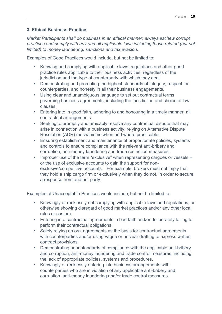## **3. Ethical Business Practice**

*Market Participants shall do business in an ethical manner, always eschew corrupt practices and comply with any and all applicable laws including those related (but not limited) to money laundering, sanctions and tax evasion.*

Examples of Good Practices would include, but not be limited to:

- Knowing and complying with applicable laws, regulations and other good practice rules applicable to their business activities, regardless of the jurisdiction and the type of counterparty with which they deal.
- Demonstrating and promoting the highest standards of integrity, respect for counterparties, and honesty in all their business engagements.
- Using clear and unambiguous language to set out contractual terms governing business agreements, including the jurisdiction and choice of law clauses.
- Entering into in good faith, adhering to and honouring in a timely manner, all contractual arrangements.
- Seeking to promptly and amicably resolve any contractual dispute that may arise in connection with a business activity, relying on Alternative Dispute Resolution (ADR) mechanisms when and where practicable.
- Ensuring establishment and maintenance of proportionate policies, systems and controls to ensure compliance with the relevant anti-bribery and corruption, anti-money laundering and trade restriction measures.
- Improper use of the term "exclusive" when representing cargoes or vessels or the use of exclusive accounts to gain the support for nonexclusive/competitive accounts. For example, brokers must not imply that they hold a ship cargo firm or exclusively when they do not, in order to secure a response from another party.

Examples of Unacceptable Practices would include, but not be limited to:

- Knowingly or recklessly not complying with applicable laws and regulations, or otherwise showing disregard of good market practices and/or any other local rules or custom.
- Entering into contractual agreements in bad faith and/or deliberately failing to perform their contractual obligations.
- Solely relying on oral agreements as the basis for contractual agreements with counterparties and/or using vague or unclear drafting to express written contract provisions.
- Demonstrating poor standards of compliance with the applicable anti-bribery and corruption, anti-money laundering and trade control measures, including the lack of appropriate policies, systems and procedures.
- Knowingly or recklessly entering into business arrangements with counterparties who are in violation of any applicable anti-bribery and corruption, anti-money laundering and/or trade control measures.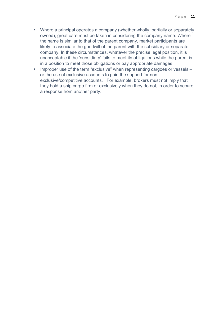- Where a principal operates a company (whether wholly, partially or separately owned), great care must be taken in considering the company name. Where the name is similar to that of the parent company, market participants are likely to associate the goodwill of the parent with the subsidiary or separate company. In these circumstances, whatever the precise legal position, it is unacceptable if the 'subsidiary' fails to meet its obligations while the parent is in a position to meet those obligations or pay appropriate damages.
- Improper use of the term "exclusive" when representing cargoes or vessels or the use of exclusive accounts to gain the support for nonexclusive/competitive accounts. For example, brokers must not imply that they hold a ship cargo firm or exclusively when they do not, in order to secure a response from another party.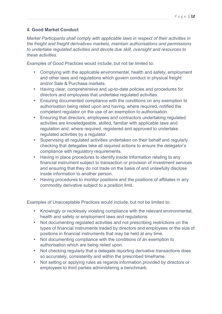## **4. Good Market Conduct**

*Market Participants shall comply with applicable laws in respect of their activities in the freight and freight derivatives markets, maintain authorisations and permissions to undertake regulated activities and devote due skill, oversight and resources to these activities.*

Examples of Good Practices would include, but not be limited to:

- Complying with the applicable environmental, health and safety, employment and other laws and regulations which govern conduct in physical freight and/or Sale & Purchase markets.
- Having clear, comprehensive and up-to-date policies and procedures for directors and employees that undertake regulated activities.
- Ensuring documented compliance with the conditions on any exemption to authorisation being relied upon and having, where required, notified the competent regulator on the use of an exemption to authorisation.
- Ensuring that directors, employees and contractors undertaking regulated activities are knowledgeable, skilled, familiar with applicable laws and regulation and, where required, registered and approved to undertake regulated activities by a regulator.
- Supervising all regulated activities undertaken on their behalf and regularly checking that delegates take all required actions to ensure the delegator's compliance with regulatory requirements.
- Having in place procedures to identify inside information relating to any financial instrument subject to transaction or provision of investment services and ensuring that they do not trade on the basis of and unlawfully disclose inside information to another person.
- Having procedures to monitor positions and the positions of affiliates in any commodity derivative subject to a position limit.

Examples of Unacceptable Practices would include, but not be limited to:

- Knowingly or recklessly violating compliance with the relevant environmental, health and safety or employment laws and regulations.
- Not documenting regulated activities and not prescribing restrictions on the types of financial instruments traded by directors and employees or the size of positions in financial instruments that may be held at any time.
- Not documenting compliance with the conditions of an exemption to authorisation which are being relied upon.
- Not checking regularly that a delegate reporting derivative transactions does so accurately, consistently and within the prescribed timeframe.
- Not setting or applying rules as regards information provided by directors or employees to third parties administering a benchmark.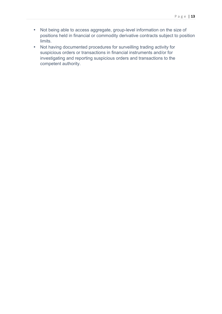- Not being able to access aggregate, group-level information on the size of positions held in financial or commodity derivative contracts subject to position limits.
- Not having documented procedures for surveilling trading activity for suspicious orders or transactions in financial instruments and/or for investigating and reporting suspicious orders and transactions to the competent authority.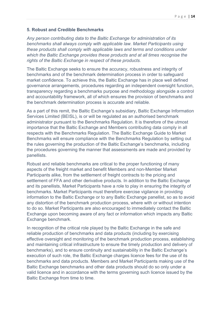#### **5. Robust and Credible Benchmarks**

*Any person contributing data to the Baltic Exchange for administration of its benchmarks shall always comply with applicable law. Market Participants using these products shall comply with applicable laws and terms and conditions under which the Baltic Exchange provides these products and at all times recognise the rights of the Baltic Exchange in respect of these products.*

The Baltic Exchange seeks to ensure the accuracy, robustness and integrity of benchmarks and of the benchmark determination process in order to safeguard market confidence. To achieve this, the Baltic Exchange has in place well defined governance arrangements, procedures regarding an independent oversight function, transparency regarding a benchmarks purpose and methodology alongside a control and accountability framework, all of which ensures the provision of benchmarks and the benchmark determination process is accurate and reliable.

As a part of this remit, the Baltic Exchange's subsidiary, Baltic Exchange Information Services Limited (BEISL), is or will be regulated as an authorised benchmark administrator pursuant to the Benchmarks Regulation. It is therefore of the utmost importance that the Baltic Exchange and Members contributing data comply in all respects with the Benchmarks Regulation. The Baltic Exchange Guide to Market Benchmarks will ensure compliance with the Benchmarks Regulation by setting out the rules governing the production of the Baltic Exchange's benchmarks, including the procedures governing the manner that assessments are made and provided by panellists.

Robust and reliable benchmarks are critical to the proper functioning of many aspects of the freight market and benefit Members and non-Member Market Participants alike, from the settlement of freight contracts to the pricing and settlement of FFA and other derivative products. In addition to the Baltic Exchange and its panellists, Market Participants have a role to play in ensuring the integrity of benchmarks. Market Participants must therefore exercise vigilance in providing information to the Baltic Exchange or to any Baltic Exchange panellist, so as to avoid any distortion of the benchmark production process, where with or without intention to do so. Market Participants are also encouraged to immediately contact the Baltic Exchange upon becoming aware of any fact or information which impacts any Baltic Exchange benchmark.

In recognition of the critical role played by the Baltic Exchange in the safe and reliable production of benchmarks and data products (including by exercising effective oversight and monitoring of the benchmark production process, establishing and maintaining critical infrastructure to ensure the timely production and delivery of benchmarks), and to ensure continuity and sustainability in the Baltic Exchange's execution of such role, the Baltic Exchange charges licence fees for the use of its benchmarks and data products. Members and Market Participants making use of the Baltic Exchange benchmarks and other data products should do so only under a valid licence and in accordance with the terms governing such licence issued by the Baltic Exchange from time to time.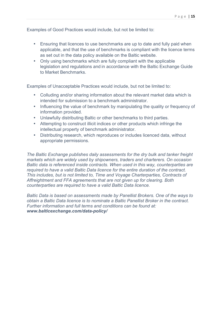Examples of Good Practices would include, but not be limited to:

- Ensuring that licences to use benchmarks are up to date and fully paid when applicable, and that the use of benchmarks is compliant with the licence terms as set out in the data policy available on the Baltic website.
- Only using benchmarks which are fully compliant with the applicable legislation and regulations and in accordance with the Baltic Exchange Guide to Market Benchmarks.

Examples of Unacceptable Practices would include, but not be limited to:

- Colluding and/or sharing information about the relevant market data which is intended for submission to a benchmark administrator.
- Influencing the value of benchmark by manipulating the quality or frequency of information provided.
- Unlawfully distributing Baltic or other benchmarks to third parties.
- Attempting to construct illicit indices or other products which infringe the intellectual property of benchmark administrator.
- Distributing research, which reproduces or includes licenced data, without appropriate permissions.

*The Baltic Exchange publishes daily assessments for the dry bulk and tanker freight markets which are widely used by shipowners, traders and charterers. On occasion Baltic data is referenced inside contracts. When used in this way, counterparties are required to have a valid Baltic Data licence for the entire duration of the contract. This includes, but is not limited to, Time and Voyage Charterparties, Contracts of Affreightment and FFA agreements that are not given up for clearing. Both counterparties are required to have a valid Baltic Data licence.*

*Baltic Data is based on assessments made by Panellist Brokers. One of the ways to obtain a Baltic Data licence is to nominate a Baltic Panellist Broker in the contract. Further information and full terms and conditions can be found at: www.balticexchange.com/data-policy/*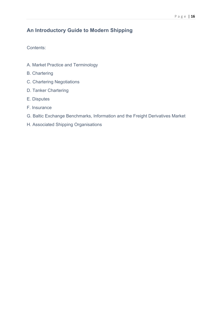# **An Introductory Guide to Modern Shipping**

Contents:

- A. Market Practice and Terminology
- B. Chartering
- C. Chartering Negotiations
- D. Tanker Chartering
- E. Disputes
- F. Insurance
- G. Baltic Exchange Benchmarks, Information and the Freight Derivatives Market
- H. Associated Shipping Organisations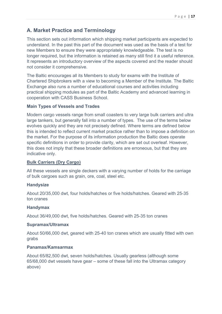# **A. Market Practice and Terminology**

This section sets out information which shipping market participants are expected to understand. In the past this part of the document was used as the basis of a test for new Members to ensure they were appropriately knowledgeable. The test is no longer required, but the information is retained as many still find it a useful reference. It represents an introductory overview of the aspects covered and the reader should not consider it comprehensive.

The Baltic encourages all its Members to study for exams with the Institute of Chartered Shipbrokers with a view to becoming a Member of the Institute. The Baltic Exchange also runs a number of educational courses and activities including practical shipping modules as part of the Baltic Academy and advanced learning in cooperation with CASS Business School.

## **Main Types of Vessels and Trades**

Modern cargo vessels range from small coasters to very large bulk carriers and ultra large tankers, but generally fall into a number of types. The use of the terms below evolves quickly and they are not precisely defined. Where terms are defined below this is intended to reflect current market practice rather than to impose a definition on the market. For the purpose of its information production the Baltic does operate specific definitions in order to provide clarity, which are set out overleaf. However, this does not imply that these broader definitions are erroneous, but that they are indicative only.

## **Bulk Carriers (Dry Cargo)**

All these vessels are single deckers with a varying number of holds for the carriage of bulk cargoes such as grain, ore, coal, steel etc.

## **Handysize**

About 20/35,000 dwt, four holds/hatches or five holds/hatches. Geared with 25-35 ton cranes

## **Handymax**

About 36/49,000 dwt, five holds/hatches. Geared with 25-35 ton cranes

## **Supramax/Ultramax**

About 50/66,000 dwt, geared with 25-40 ton cranes which are usually fitted with own grabs

## **Panamax/Kamsarmax**

About 65/82,500 dwt, seven holds/hatches. Usually gearless (although some 65/68,000 dwt vessels have gear – some of these fall into the Ultramax category above)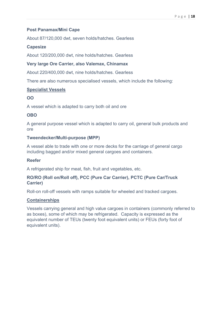## **Post Panamax/Mini Cape**

About 87/120,000 dwt, seven holds/hatches. Gearless

## **Capesize**

About 120/200,000 dwt, nine holds/hatches. Gearless

#### **Very large Ore Carrier, also Valemax, Chinamax**

About 220/400,000 dwt, nine holds/hatches. Gearless

There are also numerous specialised vessels, which include the following:

#### **Specialist Vessels**

#### **OO**

A vessel which is adapted to carry both oil and ore

## **OBO**

A general purpose vessel which is adapted to carry oil, general bulk products and ore

## **Tweendecker/Multi-purpose (MPP)**

A vessel able to trade with one or more decks for the carriage of general cargo including bagged and/or mixed general cargoes and containers.

## **Reefer**

A refrigerated ship for meat, fish, fruit and vegetables, etc.

## **RO/RO (Roll on/Roll off), PCC (Pure Car Carrier), PCTC (Pure Car/Truck Carrier)**

Roll-on roll-off vessels with ramps suitable for wheeled and tracked cargoes.

## **Containerships**

Vessels carrying general and high value cargoes in containers (commonly referred to as boxes), some of which may be refrigerated. Capacity is expressed as the equivalent number of TEUs (twenty foot equivalent units) or FEUs (forty foot of equivalent units).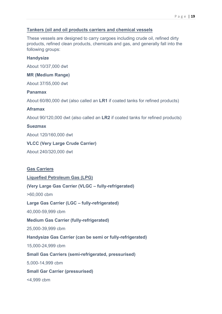## **Tankers (oil and oil products carriers and chemical vessels**

These vessels are designed to carry cargoes including crude oil, refined dirty products, refined clean products, chemicals and gas, and generally fall into the following groups:

#### **Handysize**

About 10/37,000 dwt

#### **MR (Medium Range)**

About 37/55,000 dwt

#### **Panamax**

About 60/80,000 dwt (also called an **LR1** if coated tanks for refined products)

#### **Aframax**

About 90/120,000 dwt (also called an **LR2** if coated tanks for refined products)

#### **Suezmax**

About 120/160,000 dwt

## **VLCC (Very Large Crude Carrier)**

About 240/320,000 dwt

# **Gas Carriers**

## **Liquefied Petroleum Gas (LPG)**

## **(Very Large Gas Carrier (VLGC – fully-refrigerated)**

>60,000 cbm

## **Large Gas Carrier (LGC – fully-refrigerated)**

40,000-59,999 cbm

#### **Medium Gas Carrier (fully-refrigerated)**

25,000-39,999 cbm

## **Handysize Gas Carrier (can be semi or fully-refrigerated)**

15,000-24,999 cbm

## **Small Gas Carriers (semi-refrigerated, pressurised)**

5,000-14,999 cbm

## **Small Gar Carrier (pressurised)**

<4,999 cbm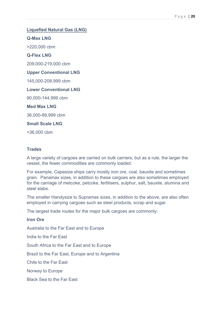# **Liquefied Natural Gas (LNG) Q-Max LNG** >220,000 cbm **Q-Flex LNG**

209,000-219,000 cbm

#### **Upper Conventional LNG**

145,000-208,999 cbm

#### **Lower Conventional LNG**

90,000-144,999 cbm

**Med Max LNG**

36,000-89,999 cbm

**Small Scale LNG**

<36,000 cbm

## **Trades**

A large variety of cargoes are carried on bulk carriers, but as a rule, the larger the vessel, the fewer commodities are commonly loaded.

For example, Capesize ships carry mostly iron ore, coal, bauxite and sometimes grain. Panamax sizes, in addition to these cargoes are also sometimes employed for the carriage of metcoke, petcoke, fertilisers, sulphur, salt, bauxite, alumina and steel slabs.

The smaller Handysize to Supramax sizes, in addition to the above, are also often employed in carrying cargoes such as steel products, scrap and sugar.

The largest trade routes for the major bulk cargoes are commonly:

**Iron Ore** Australia to the Far East and to Europe India to the Far East South Africa to the Far East and to Europe Brazil to the Far East, Europe and to Argentina Chile to the Far East Norway to Europe Black Sea to the Far East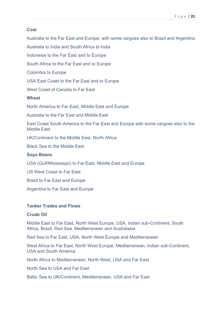## **Coal**

Australia to the Far East and Europe, with some cargoes also to Brazil and Argentina

Australia to India and South Africa to India

Indonesia to the Far East and to Europe

South Africa to the Far East and to Europe

Colombia to Europe

USA East Coast to the Far East and to Europe

West Coast of Canada to Far East

## **Wheat**

North America to Far East, Middle East and Europe

Australia to the Far East and Middle East

East Coast South America to the Far East and Europe with some cargoes also to the Middle East

UK/Continent to the Middle East, North Africa

Black Sea to the Middle East

## **Soya Beans**

USA (Gulf/Mississippi) to Far East, Middle East and Europe

US West Coast to Far East

Brazil to Far East and Europe

Argentina to Far East and Europe

## **Tanker Trades and Flows**

## **Crude Oil**

Middle East to Far East, North West Europe, USA, Indian sub-Continent, South Africa, Brazil, Red Sea, Mediterranean and Australasia

Red Sea to Far East, USA, North West Europe and Mediterranean

West Africa to Far East, North West Europe, Mediterranean, Indian sub-Continent, USA and South America

North Africa to Mediterranean, North West, USA and Far East

North Sea to USA and Far East

Baltic Sea to UK/Continent, Mediterranean, USA and Far East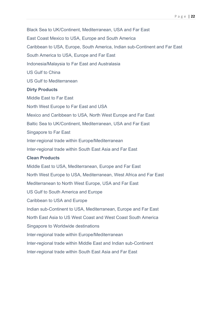Black Sea to UK/Continent, Mediterranean, USA and Far East East Coast Mexico to USA, Europe and South America Caribbean to USA, Europe, South America, Indian sub-Continent and Far East South America to USA, Europe and Far East Indonesia/Malaysia to Far East and Australasia US Gulf to China US Gulf to Mediterranean **Dirty Products** Middle East to Far East North West Europe to Far East and USA Mexico and Caribbean to USA, North West Europe and Far East Baltic Sea to UK/Continent, Mediterranean, USA and Far East Singapore to Far East Inter-regional trade within Europe/Mediterranean Inter-regional trade within South East Asia and Far East **Clean Products** Middle East to USA, Mediterranean, Europe and Far East North West Europe to USA, Mediterranean, West Africa and Far East Mediterranean to North West Europe, USA and Far East US Gulf to South America and Europe Caribbean to USA and Europe Indian sub-Continent to USA, Mediterranean, Europe and Far East North East Asia to US West Coast and West Coast South America Singapore to Worldwide destinations Inter-regional trade within Europe/Mediterranean Inter-regional trade within Middle East and Indian sub-Continent Inter-regional trade within South East Asia and Far East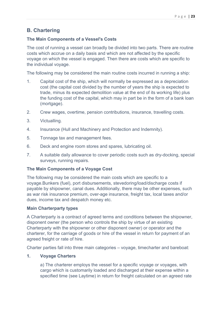# **B. Chartering**

## **The Main Components of a Vessel's Costs**

The cost of running a vessel can broadly be divided into two parts. There are routine costs which accrue on a daily basis and which are not affected by the specific voyage on which the vessel is engaged. Then there are costs which are specific to the individual voyage.

The following may be considered the main routine costs incurred in running a ship:

- 1. Capital cost of the ship, which will normally be expressed as a depreciation cost (the capital cost divided by the number of years the ship is expected to trade, minus its expected demolition value at the end of its working life) plus the funding cost of the capital, which may in part be in the form of a bank loan (mortgage).
- 2. Crew wages, overtime, pension contributions, insurance, travelling costs.
- 3. Victualling.
- 4. Insurance (Hull and Machinery and Protection and Indemnity).
- 5. Tonnage tax and management fees.
- 6. Deck and engine room stores and spares, lubricating oil.
- 7. A suitable daily allowance to cover periodic costs such as dry-docking, special surveys, running repairs.

#### **The Main Components of a Voyage Cost**

The following may be considered the main costs which are specific to a voyage.Bunkers (fuel), port disbursements, stevedoring/load/discharge costs if payable by shipowner, canal dues. Additionally, there may be other expenses, such as war risk insurance premium, over-age insurance, freight tax, local taxes and/or dues, income tax and despatch money etc.

#### **Main Charterparty types**

A Charterparty is a contract of agreed terms and conditions between the shipowner, disponent owner (the person who controls the ship by virtue of an existing Charterparty with the shipowner or other disponent owner) or operator and the charterer, for the carriage of goods or hire of the vessel in return for payment of an agreed freight or rate of hire.

Charter parties fall into three main categories – voyage, timecharter and bareboat:

#### **1. Voyage Charters**

a) The charterer employs the vessel for a specific voyage or voyages, with cargo which is customarily loaded and discharged at their expense within a specified time (see Laytime) in return for freight calculated on an agreed rate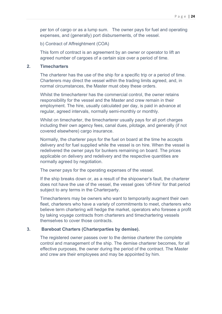per ton of cargo or as a lump sum. The owner pays for fuel and operating expenses, and (generally) port disbursements, of the vessel.

b) Contract of Affreightment (COA)

This form of contract is an agreement by an owner or operator to lift an agreed number of cargoes of a certain size over a period of time.

#### **2. Timecharters**

The charterer has the use of the ship for a specific trip or a period of time. Charterers may direct the vessel within the trading limits agreed, and, in normal circumstances, the Master must obey these orders.

Whilst the timecharterer has the commercial control, the owner retains responsibility for the vessel and the Master and crew remain in their employment. The hire, usually calculated per day, is paid in advance at regular, agreed intervals, normally semi-monthly or monthly.

Whilst on timecharter, the timecharterer usually pays for all port charges including their own agency fees, canal dues, pilotage, and generally (if not covered elsewhere) cargo insurance.

Normally, the charterer pays for the fuel on board at the time he accepts delivery and for fuel supplied while the vessel is on hire. When the vessel is redelivered the owner pays for bunkers remaining on board. The prices applicable on delivery and redelivery and the respective quantities are normally agreed by negotiation.

The owner pays for the operating expenses of the vessel.

If the ship breaks down or, as a result of the shipowner's fault, the charterer does not have the use of the vessel, the vessel goes 'off-hire' for that period subject to any terms in the Charterparty.

Timecharterers may be owners who want to temporarily augment their own fleet, charterers who have a variety of commitments to meet, charterers who believe term chartering will hedge the market, operators who foresee a profit by taking voyage contracts from charterers and timechartering vessels themselves to cover those contracts.

#### **3. Bareboat Charters (Charterparties by demise).**

The registered owner passes over to the demise charterer the complete control and management of the ship. The demise charterer becomes, for all effective purposes, the owner during the period of the contract. The Master and crew are their employees and may be appointed by him.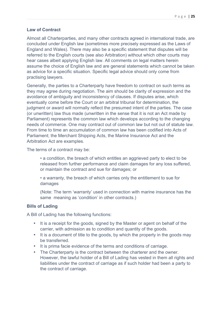## **Law of Contract**

Almost all Charterparties, and many other contracts agreed in international trade, are concluded under English law (sometimes more precisely expressed as the Laws of England and Wales). There may also be a specific statement that disputes will be referred to the English courts (see also Arbitration) without which other courts may hear cases albeit applying English law. All comments on legal matters herein assume the choice of English law and are general statements which cannot be taken as advice for a specific situation. Specific legal advice should only come from practising lawyers.

Generally, the parties to a Charterparty have freedom to contract on such terms as they may agree during negotiation. The aim should be clarity of expression and the avoidance of ambiguity and inconsistency of clauses. If disputes arise, which eventually come before the Court or an arbitral tribunal for determination, the judgment or award will normally reflect the presumed intent of the parties. The case (or unwritten) law thus made (unwritten in the sense that it is not an Act made by Parliament) represents the common law which develops according to the changing needs of commerce. One may contract out of common law but not out of statute law. From time to time an accumulation of common law has been codified into Acts of Parliament; the Merchant Shipping Acts, the Marine Insurance Act and the Arbitration Act are examples.

The terms of a contract may be:

• a condition, the breach of which entitles an aggrieved party to elect to be released from further performance and claim damages for any loss suffered, or maintain the contract and sue for damages; or

• a warranty, the breach of which carries only the entitlement to sue for damages

(Note: The term 'warranty' used in connection with marine insurance has the same meaning as 'condition' in other contracts.)

#### **Bills of Lading**

A Bill of Lading has the following functions:

- It is a receipt for the goods, signed by the Master or agent on behalf of the carrier, with admission as to condition and quantity of the goods.
- It is a document of title to the goods, by which the property in the goods may be transferred.
- It is prima facie evidence of the terms and conditions of carriage.
- The Charterparty is the contract between the charterer and the owner. However, the lawful holder of a Bill of Lading has vested in them all rights and liabilities under the contract of carriage as if such holder had been a party to the contract of carriage.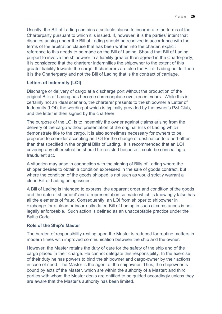Usually, the Bill of Lading contains a suitable clause to incorporate the terms of the Charterparty pursuant to which it is issued. If, however, it is the parties' intent that disputes arising under the Bill of Lading should be resolved in accordance with the terms of the arbitration clause that has been written into the charter, explicit reference to this needs to be made on the Bill of Lading. Should that Bill of Lading purport to involve the shipowner in a liability greater than agreed in the Charterparty, it is considered that the charterer indemnifies the shipowner to the extent of this greater liability towards the cargo. If charterers are also the Bill of Lading holder then it is the Charterparty and not the Bill of Lading that is the contract of carriage.

## **Letters of Indemnity (LOI)**

Discharge or delivery of cargo at a discharge port without the production of the original Bills of Lading has become commonplace over recent years. While this is certainly not an ideal scenario, the charterer presents to the shipowner a Letter of Indemnity (LOI), the wording of which is typically provided by the owner's P&I Club, and the letter is then signed by the charterer.

The purpose of the LOI is to indemnify the owner against claims arising from the delivery of the cargo without presentation of the original Bills of Lading which demonstrate title to the cargo. It is also sometimes necessary for owners to be prepared to consider accepting an LOI for the change of destination to a port other than that specified in the original Bills of Lading. It is recommended that an LOI covering any other situation should be resisted because it could be concealing a fraudulent act.

A situation may arise in connection with the signing of Bills of Lading where the shipper desires to obtain a condition expressed in the sale of goods contract, but where the condition of the goods shipped is not such as would strictly warrant a clean Bill of Lading being issued.

A Bill of Lading is intended to express 'the apparent order and condition of the goods and the date of shipment' and a representation so made which is knowingly false has all the elements of fraud. Consequently, an LOI from shipper to shipowner in exchange for a clean or incorrectly dated Bill of Lading in such circumstances is not legally enforceable. Such action is defined as an unacceptable practice under the Baltic Code.

#### **Role of the Ship's Master**

The burden of responsibility resting upon the Master is reduced for routine matters in modern times with improved communication between the ship and the owner.

However, the Master retains the duty of care for the safety of the ship and of the cargo placed in their charge. He cannot delegate this responsibility. In the exercise of their duty he has powers to bind the shipowner and cargo-owner by their actions in case of need. The Master is the agent of the shipowner. Thus, the shipowner is bound by acts of the Master, which are within the authority of a Master; and third parties with whom the Master deals are entitled to be guided accordingly unless they are aware that the Master's authority has been limited.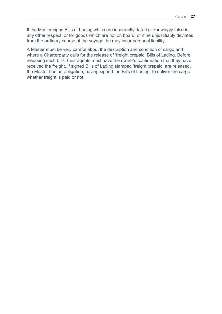If the Master signs Bills of Lading which are incorrectly dated or knowingly false in any other respect, or for goods which are not on board, or if he unjustifiably deviates from the ordinary course of the voyage, he may incur personal liability.

A Master must be very careful about the description and condition of cargo and where a Charterparty calls for the release of 'freight prepaid' Bills of Lading. Before releasing such bills, their agents must have the owner's confirmation that they have received the freight. If signed Bills of Lading stamped 'freight prepaid' are released, the Master has an obligation, having signed the Bills of Lading, to deliver the cargo whether freight is paid or not.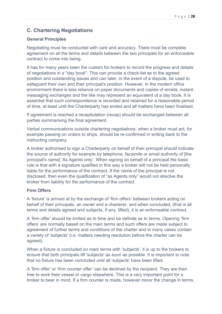# **C. Chartering Negotiations**

## **General Principles**

Negotiating must be conducted with care and accuracy. There must be complete agreement on all the terms and details between the two principals for an enforceable contract to come into being.

It has for many years been the custom for brokers to record the progress and details of negotiations in a "day book". This can provide a check-list as to the agreed position and outstanding issues and can later, in the event of a dispute, be used to safeguard their own and their principal's position. However, in the modern office environment there is less reliance on paper documents and copies of emails, instant messaging exchanges and the like may represent an equivalent of a day book. It is essential that such correspondence is recorded and retained for a reasonable period of time, at least until the Charterparty has ended and all matters have been finalised.

If agreement is reached a recapitulation (recap) should be exchanged between all parties summarising the final agreement.

Verbal communications outside chartering negotiations, when a broker must act, for example passing on orders to ships, should be re-confirmed in writing back to the instructing company.

A broker authorised to sign a Charterparty on behalf of their principal should indicate the source of authority for example by telephone, facsimile or email authority of [the principal's name] 'As Agents only'. When signing on behalf of a principal the basic rule is that with a signature qualified in this way a broker will not be held personally liable for the performance of the contract. If the name of the principal is not disclosed, then even the qualification of "as Agents only" would not absolve the broker from liability for the performance of the contract.

## **Firm Offers**

A 'fixture' is arrived at by the exchange of 'firm offers' between brokers acting on behalf of their principals, an owner and a charterer, and when concluded, (that is all terms and details agreed and subjects, if any, lifted), it is an enforceable contract.

A 'firm offer' should be limited as to time and be definite as to terms. Opening 'firm offers' are normally based on the main terms and such offers are made subject to agreement of further terms and conditions of the charter and in many cases contain a variety of 'subjects' (i.e. matters needing resolution before the charter can be agreed).

When a fixture is concluded on main terms with 'subjects', it is up to the brokers to ensure that both principals lift 'subjects' as soon as possible. It is important to note that no fixture has been concluded until all 'subjects' have been lifted.

A 'firm offer' or 'firm counter offer' can be declined by the recipient. They are then free to work their vessel or cargo elsewhere. This is a very important point for a broker to bear in mind. If a firm counter is made, however minor the change in terms,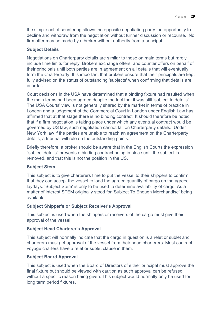the simple act of countering allows the opposite negotiating party the opportunity to decline and withdraw from the negotiation without further discussion or recourse. No firm offer may be made by a broker without authority from a principal.

#### **Subject Details**

Negotiations on Charterparty details are similar to those on main terms but rarely include time limits for reply. Brokers exchange offers, and counter offers on behalf of their principals until both parties are in agreement on all details that will eventually form the Charterparty. It is important that brokers ensure that their principals are kept fully advised on the status of outstanding 'subjects' when confirming that details are in order.

Court decisions in the USA have determined that a binding fixture had resulted when the main terms had been agreed despite the fact that it was still 'subject to details'. The USA Courts' view is not generally shared by the market in terms of practice in London and a judgement of the Commercial Court in London under English Law has affirmed that at that stage there is no binding contract. It should therefore be noted that if a firm negotiation is taking place under which any eventual contract would be governed by US law, such negotiation cannot fail on Charterparty details. Under New York law if the parties are unable to reach an agreement on the Charterparty details, a tribunal will rule on the outstanding points.

Briefly therefore, a broker should be aware that in the English Courts the expression "subject details" prevents a binding contract being in place until the subject is removed, and that this is not the position in the US.

#### **Subject Stem**

This subject is to give charterers time to put the vessel to their shippers to confirm that they can accept the vessel to load the agreed quantity of cargo on the agreed laydays. 'Subject Stem' is only to be used to determine availability of cargo. As a matter of interest STEM originally stood for 'Subject To Enough Merchandise' being available.

#### **Subject Shipper's or Subject Receiver's Approval**

This subject is used when the shippers or receivers of the cargo must give their approval of the vessel.

#### **Subject Head Charterer's Approval**

This subject will normally indicate that the cargo in question is a relet or sublet and charterers must get approval of the vessel from their head charterers. Most contract voyage charters have a relet or sublet clause in them.

## **Subject Board Approval**

This subject is used when the Board of Directors of either principal must approve the final fixture but should be viewed with caution as such approval can be refused without a specific reason being given. This subject would normally only be used for long term period fixtures.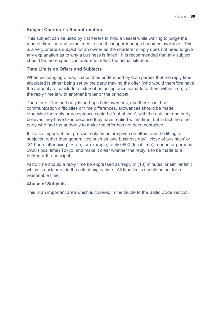## **Subject Charterer's Reconfirmation**

This subject can be used by charterers to hold a vessel while waiting to judge the market direction and sometimes to see if cheaper tonnage becomes available. This is a very onerous subject for an owner as the charterer simply does not need to give any explanation as to why a business is failed. It is recommended that any subject should be more specific in nature to reflect the actual situation.

#### **Time Limits on Offers and Subjects**

When exchanging offers, it should be understood by both parties that the reply time stipulated is either being set by the party making the offer (who would therefore have the authority to conclude a fixture if an acceptance is made to them within time), or the reply time is with another broker or the principal.

Therefore, if the authority is perhaps held overseas, and there could be communication difficulties or time differences, allowances should be made, otherwise the reply or acceptance could be 'out of time', with the risk that one party believes they have fixed because they have replied within time, but in fact the other party who had the authority to make the offer has not been contacted.

It is also important that precise reply times are given on offers and the lifting of subjects, rather than generalities such as 'one business day', 'close of business' or '24 hours after fixing'. State, for example, reply 0900 (local time) London or perhaps 0900 (local time) Tokyo, and make it clear whether the reply is to be made to a broker or the principal.

At no time should a reply time be expressed as 'reply in (10) minutes' or similar limit which is unclear as to the actual expiry time. All time limits should be set for a reasonable time.

#### **Abuse of Subjects**

This is an important area which is covered in the Guide to the Baltic Code section.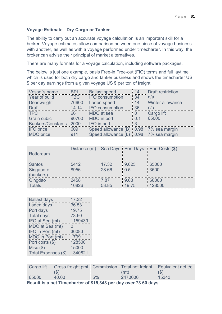## **Voyage Estimate - Dry Cargo or Tanker**

The ability to carry out an accurate voyage calculation is an important skill for a broker. Voyage estimates allow comparison between one piece of voyage business with another, as well as with a voyage performed under timecharter. In this way, the broker can advise their principal of market alternatives.

There are many formats for a voyage calculation, including software packages.

The below is just one example, basis Free-in Free-out (FIO) terms and full laytime which is used for both dry cargo and tanker business and shows the timecharter US \$ per day earnings from a given voyage US \$ per ton of freight.

| Vessel's name          | <b>BPI</b> | <b>Ballast speed</b>                   | 14             | Draft restriction |
|------------------------|------------|----------------------------------------|----------------|-------------------|
| Year of build          | TBC        | IFO consumption                        | 34             | n/a               |
| Deadweight             | 76600      | Laden speed                            | 14             | Winter allowance  |
| <b>Draft</b>           | 14.14      | <b>IFO</b> consumption                 | 36             | n/a               |
| TPC                    | 66         | MDO at sea                             | $\overline{0}$ | Cargo lift        |
| <b>Grain cubic</b>     | 90700      | MDO in port                            | 0.1            | 65000             |
| Bunkers/Constants 2000 |            | IFO in port                            | $\cdot$ 3      |                   |
| <b>IFO</b> price       | 609        | Speed allowance (B) 0.98 7% sea margin |                |                   |
| MDO price              | 911        | Speed allowance (L) 0.98 7% sea margin |                |                   |

|                        | Distance (m) Sea Days : Port Days : Port Costs (\$) |       |       |        |
|------------------------|-----------------------------------------------------|-------|-------|--------|
| Rotterdam              |                                                     |       |       |        |
| Santos                 | 5412                                                | 17.32 | 9.625 | 65000  |
| Singapore<br>(bunkers) | 8956                                                | 28.66 | 0.5   | 3500   |
| Qingdao                | 2458                                                | 7.87  | 9.63  | 60000  |
| Totals                 | 16826                                               | 53.85 | 19.75 | 128500 |

| 17.32            |  |
|------------------|--|
| 36.53            |  |
| 19.75            |  |
| 73.60            |  |
| 1159439          |  |
| $\left( \right)$ |  |
| 36083            |  |
| 1799             |  |
| 128500           |  |
| 15000            |  |
| 1340821          |  |
|                  |  |

|                                                                  |       |       |         | Cargo lift   Gross freight pmt   Commission   Total net freight   Equivalent net t/c |
|------------------------------------------------------------------|-------|-------|---------|--------------------------------------------------------------------------------------|
|                                                                  | (S)   |       | (mt)    | (5)                                                                                  |
| 65000                                                            | 40.00 | $5\%$ | 2470000 | 15343                                                                                |
| Result is a net Timecharter of \$15,343 per day over 73.60 days. |       |       |         |                                                                                      |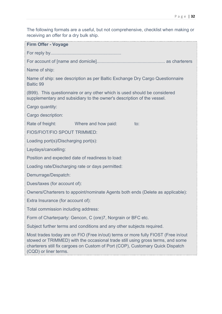The following formats are a useful, but not comprehensive, checklist when making or receiving an offer for a dry bulk ship. **Firm Offer - Voyage** For reply by......................................................... For account of [name and domicile]....................................................... as charterers Name of ship: Name of ship: see description as per Baltic Exchange Dry Cargo Questionnaire Baltic 99 (B99). This questionnaire or any other which is used should be considered supplementary and subsidiary to the owner's description of the vessel. Cargo quantity: Cargo description: Rate of freight: Where and how paid: to: FIOS/FIOT/FIO SPOUT TRIMMED: Loading port(s)/Discharging port(s): Laydays/cancelling: Position and expected date of readiness to load: Loading rate/Discharging rate or days permitted: Demurrage/Despatch: Dues/taxes (for account of): Owners/Charterers to appoint/nominate Agents both ends (Delete as applicable): Extra Insurance (for account of): Total commission including address: Form of Charterparty: Gencon, C (ore)7, Norgrain or BFC etc. Subject further terms and conditions and any other subjects required. Most trades today are on FIO (Free in/out) terms or more fully FIOST (Free in/out stowed or TRIMMED) with the occasional trade still using gross terms, and some charterers still fix cargoes on Custom of Port (COP), Customary Quick Dispatch (CQD) or liner terms.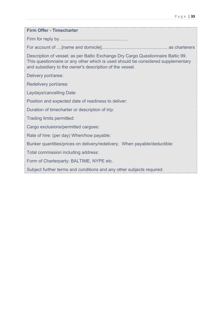| <b>Firm Offer - Timecharter</b>                                                                                                                                                                                                  |
|----------------------------------------------------------------------------------------------------------------------------------------------------------------------------------------------------------------------------------|
|                                                                                                                                                                                                                                  |
|                                                                                                                                                                                                                                  |
| Description of vessel: as per Baltic Exchange Dry Cargo Questionnaire Baltic 99.<br>This questionnaire or any other which is used should be considered supplementary<br>and subsidiary to the owner's description of the vessel. |
| Delivery port/area:                                                                                                                                                                                                              |
| Redelivery port/area:                                                                                                                                                                                                            |
| Laydays/cancelling Date:                                                                                                                                                                                                         |
| Position and expected date of readiness to deliver:                                                                                                                                                                              |
| Duration of timecharter or description of trip:                                                                                                                                                                                  |
| Trading limits permitted:                                                                                                                                                                                                        |
| Cargo exclusions/permitted cargoes:                                                                                                                                                                                              |
| Rate of hire: (per day) When/how payable:                                                                                                                                                                                        |
| Bunker quantities/prices on delivery/redelivery. When payable/deductible:                                                                                                                                                        |
| Total commission including address:                                                                                                                                                                                              |
| Form of Charterparty: BALTIME, NYPE etc.                                                                                                                                                                                         |
|                                                                                                                                                                                                                                  |

Subject further terms and conditions and any other subjects required.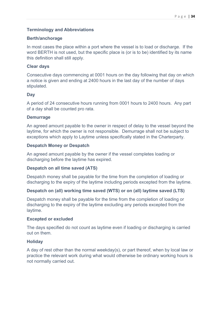## **Terminology and Abbreviations**

#### **Berth/anchorage**

In most cases the place within a port where the vessel is to load or discharge. If the word BERTH is not used, but the specific place is (or is to be) identified by its name this definition shall still apply.

#### **Clear days**

Consecutive days commencing at 0001 hours on the day following that day on which a notice is given and ending at 2400 hours in the last day of the number of days stipulated.

#### **Day**

A period of 24 consecutive hours running from 0001 hours to 2400 hours. Any part of a day shall be counted pro rata.

#### **Demurrage**

An agreed amount payable to the owner in respect of delay to the vessel beyond the laytime, for which the owner is not responsible. Demurrage shall not be subject to exceptions which apply to Laytime unless specifically stated in the Charterparty.

#### **Despatch Money or Despatch**

An agreed amount payable by the owner if the vessel completes loading or discharging before the laytime has expired.

## **Despatch on all time saved (ATS)**

Despatch money shall be payable for the time from the completion of loading or discharging to the expiry of the laytime including periods excepted from the laytime.

## **Despatch on (all) working time saved (WTS) or on (all) laytime saved (LTS)**

Despatch money shall be payable for the time from the completion of loading or discharging to the expiry of the laytime excluding any periods excepted from the laytime.

## **Excepted or excluded**

The days specified do not count as laytime even if loading or discharging is carried out on them.

## **Holiday**

A day of rest other than the normal weekday(s), or part thereof, when by local law or practice the relevant work during what would otherwise be ordinary working hours is not normally carried out.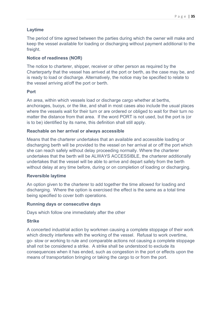## **Laytime**

The period of time agreed between the parties during which the owner will make and keep the vessel available for loading or discharging without payment additional to the freight.

## **Notice of readiness (NOR)**

The notice to charterer, shipper, receiver or other person as required by the Charterparty that the vessel has arrived at the port or berth, as the case may be, and is ready to load or discharge. Alternatively, the notice may be specified to relate to the vessel arriving at/off the port or berth.

## **Port**

An area, within which vessels load or discharge cargo whether at berths, anchorages, buoys, or the like, and shall in most cases also include the usual places where the vessels wait for their turn or are ordered or obliged to wait for their turn no matter the distance from that area. If the word PORT is not used, but the port is (or is to be) identified by its name, this definition shall still apply.

#### **Reachable on her arrival or always accessible**

Means that the charterer undertakes that an available and accessible loading or discharging berth will be provided to the vessel on her arrival at or off the port which she can reach safely without delay proceeding normally. Where the charterer undertakes that the berth will be ALWAYS ACCESSIBLE, the charterer additionally undertakes that the vessel will be able to arrive and depart safely from the berth without delay at any time before, during or on completion of loading or discharging.

## **Reversible laytime**

An option given to the charterer to add together the time allowed for loading and discharging. Where the option is exercised the effect is the same as a total time being specified to cover both operations.

#### **Running days or consecutive days**

Days which follow one immediately after the other

#### **Strike**

A concerted industrial action by workmen causing a complete stoppage of their work which directly interferes with the working of the vessel. Refusal to work overtime, go- slow or working to rule and comparable actions not causing a complete stoppage shall not be considered a strike. A strike shall be understood to exclude its consequences when it has ended, such as congestion in the port or effects upon the means of transportation bringing or taking the cargo to or from the port.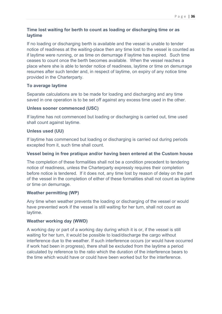## **Time lost waiting for berth to count as loading or discharging time or as laytime**

If no loading or discharging berth is available and the vessel is unable to tender notice of readiness at the waiting-place then any time lost to the vessel is counted as if laytime were running, or as time on demurrage if laytime has expired. Such time ceases to count once the berth becomes available. When the vessel reaches a place where she is able to tender notice of readiness, laytime or time on demurrage resumes after such tender and, in respect of laytime, on expiry of any notice time provided in the Charterparty.

## **To average laytime**

Separate calculations are to be made for loading and discharging and any time saved in one operation is to be set off against any excess time used in the other.

## **Unless sooner commenced (USC)**

If laytime has not commenced but loading or discharging is carried out, time used shall count against laytime.

## **Unless used (UU)**

If laytime has commenced but loading or discharging is carried out during periods excepted from it, such time shall count.

## **Vessel being in free pratique and/or having been entered at the Custom house**

The completion of these formalities shall not be a condition precedent to tendering notice of readiness, unless the Charterparty expressly requires their completion before notice is tendered. If it does not, any time lost by reason of delay on the part of the vessel in the completion of either of these formalities shall not count as laytime or time on demurrage.

## **Weather permitting (WP)**

Any time when weather prevents the loading or discharging of the vessel or would have prevented work if the vessel is still waiting for her turn, shall not count as laytime.

## **Weather working day (WWD)**

A working day or part of a working day during which it is or, if the vessel is still waiting for her turn, it would be possible to load/discharge the cargo without interference due to the weather. If such interference occurs (or would have occurred if work had been in progress), there shall be excluded from the laytime a period calculated by reference to the ratio which the duration of the interference bears to the time which would have or could have been worked but for the interference.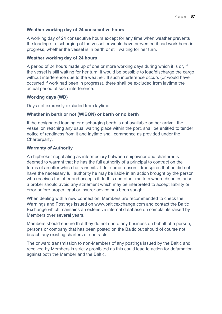#### **Weather working day of 24 consecutive hours**

A working day of 24 consecutive hours except for any time when weather prevents the loading or discharging of the vessel or would have prevented it had work been in progress, whether the vessel is in berth or still waiting for her turn.

#### **Weather working day of 24 hours**

A period of 24 hours made up of one or more working days during which it is or, if the vessel is still waiting for her turn, it would be possible to load/discharge the cargo without interference due to the weather. If such interference occurs (or would have occurred if work had been in progress), there shall be excluded from laytime the actual period of such interference.

#### **Working days (WD)**

Days not expressly excluded from laytime.

#### **Whether in berth or not (WIBON) or berth or no berth**

If the designated loading or discharging berth is not available on her arrival, the vessel on reaching any usual waiting place within the port, shall be entitled to tender notice of readiness from it and laytime shall commence as provided under the Charterparty.

#### **Warranty of Authority**

A shipbroker negotiating as intermediary between shipowner and charterer is deemed to warrant that he has the full authority of a principal to contract on the terms of an offer which he transmits. If for some reason it transpires that he did not have the necessary full authority he may be liable in an action brought by the person who receives the offer and accepts it. In this and other matters where disputes arise, a broker should avoid any statement which may be interpreted to accept liability or error before proper legal or insurer advice has been sought.

When dealing with a new connection, Members are recommended to check the Warnings and Postings issued on www.balticexchange.com and contact the Baltic Exchange which maintains an extensive internal database on complaints raised by Members over several years.

Members should ensure that they do not quote any business on behalf of a person, persons or company that has been posted on the Baltic but should of course not breach any existing charters or contracts.

The onward transmission to non-Members of any postings issued by the Baltic and received by Members is strictly prohibited as this could lead to action for defamation against both the Member and the Baltic.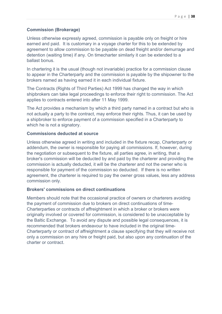## **Commission (Brokerage)**

Unless otherwise expressly agreed, commission is payable only on freight or hire earned and paid. It is customary in a voyage charter for this to be extended by agreement to allow commission to be payable on dead freight and/or demurrage and detention (waiting time) if any. On timecharter similarly it can be extended to a ballast bonus.

In chartering it is the usual (though not invariable) practice for a commission clause to appear in the Charterparty and the commission is payable by the shipowner to the brokers named as having earned it in each individual fixture.

The Contracts (Rights of Third Parties) Act 1999 has changed the way in which shipbrokers can take legal proceedings to enforce their right to commission. The Act applies to contracts entered into after 11 May 1999.

The Act provides a mechanism by which a third party named in a contract but who is not actually a party to the contract, may enforce their rights. Thus, it can be used by a shipbroker to enforce payment of a commission specified in a Charterparty to which he is not a signatory.

#### **Commissions deducted at source**

Unless otherwise agreed in writing and included in the fixture recap, Charterparty or addendum, the owner is responsible for paying all commissions. If, however, during the negotiation or subsequent to the fixture, all parties agree, in writing, that a broker's commission will be deducted by and paid by the charterer and providing the commission is actually deducted, it will be the charterer and not the owner who is responsible for payment of the commission so deducted. If there is no written agreement, the charterer is required to pay the owner gross values, less any address commission only.

## **Brokers' commissions on direct continuations**

Members should note that the occasional practice of owners or charterers avoiding the payment of commission due to brokers on direct continuations of time-Charterparties or contracts of affreightment in which a broker or brokers were originally involved or covered for commission, is considered to be unacceptable by the Baltic Exchange. To avoid any dispute and possible legal consequences, it is recommended that brokers endeavour to have included in the original time-Charterparty or contract of affreightment a clause specifying that they will receive not only a commission on any hire or freight paid, but also upon any continuation of the charter or contract.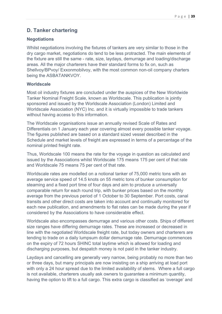# **D. Tanker chartering**

#### **Negotiations**

Whilst negotiations involving the fixtures of tankers are very similar to those in the dry cargo market, negotiations do tend to be less protracted. The main elements of the fixture are still the same - rate, size, laydays, demurrage and loading/discharge areas. All the major charterers have their standard forms to fix on, such as Shellvoy/BPvoy/ Exxonmobilvoy, with the most common non-oil company charters being the ASBATANKVOY.

#### **Worldscale**

Most oil industry fixtures are concluded under the auspices of the New Worldwide Tanker Nominal Freight Scale, known as Worldscale. This publication is jointly sponsored and issued by the Worldscale Association (London) Limited and Worldscale Association (NYC) Inc. and it is virtually impossible to trade tankers without having access to this information.

The Worldscale organisations issue an annually revised Scale of Rates and Differentials on 1 January each year covering almost every possible tanker voyage. The figures published are based on a standard sized vessel described in the Schedule and market levels of freight are expressed in terms of a percentage of the nominal printed freight rate.

Thus, Worldscale 100 means the rate for the voyage in question as calculated and issued by the Associations whilst Worldscale 175 means 175 per cent of that rate and Worldscale 75 means 75 per cent of that rate.

Worldscale rates are modelled on a notional tanker of 75,000 metric tons with an average service speed of 14.5 knots on 55 metric tons of bunker consumption for steaming and a fixed port time of four days and aim to produce a universally comparable return for each round trip, with bunker prices based on the monthly average from the previous period of 1 October to 30 September. Port costs, canal transits and other direct costs are taken into account and continually monitored for each new publication, and amendments to flat rates can be made during the year if considered by the Associations to have considerable effect.

Worldscale also encompasses demurrage and various other costs. Ships of different size ranges have differing demurrage rates. These are increased or decreased in line with the negotiated Worldscale freight rate, but today owners and charterers are tending to trade on a daily lumpsum dollar demurrage rate. Demurrage commences on the expiry of 72 hours SHINC total laytime which is allowed for loading and discharging purposes, but despatch money is not paid in the tanker industry.

Laydays and cancelling are generally very narrow, being probably no more than two or three days, but many principals are now insisting on a ship arriving at load port with only a 24 hour spread due to the limited availability of stems. Where a full cargo is not available, charterers usually ask owners to guarantee a minimum quantity, having the option to lift to a full cargo. This extra cargo is classified as 'overage' and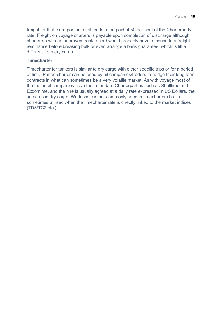freight for that extra portion of oil tends to be paid at 50 per cent of the Charterparty rate. Freight on voyage charters is payable upon completion of discharge although charterers with an unproven track record would probably have to concede a freight remittance before breaking bulk or even arrange a bank guarantee, which is little different from dry cargo.

#### **Timecharter**

Timecharter for tankers is similar to dry cargo with either specific trips or for a period of time. Period charter can be used by oil companies/traders to hedge their long term contracts in what can sometimes be a very volatile market. As with voyage most of the major oil companies have their standard Charterparties such as Shelltime and Exxontime, and the hire is usually agreed at a daily rate expressed in US Dollars, the same as in dry cargo. Worldscale is not commonly used in timecharters but is sometimes utilised when the timecharter rate is directly linked to the market indices (TD3/TC2 etc.).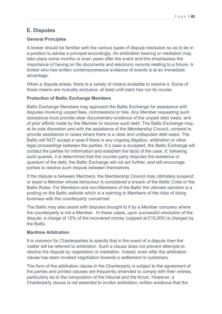# **E. Disputes**

## **General Principles**

A broker should be familiar with the various types of dispute resolution so as to be in a position to advise a principal accordingly. An arbitration hearing or mediation may take place some months or even years after the event and this emphasises the importance of having on file documents and electronic records relating to a fixture. A broker who has written contemporaneous evidence of events is at an immediate advantage.

When a dispute arises, there is a variety of means available to resolve it. Some of those means are mutually exclusive, at least until each has run its course.

## **Protection of Baltic Exchange Members**

Baltic Exchange Members may approach the Baltic Exchange for assistance with disputes involving unpaid fees, commissions or hire. Any Member requesting such assistance must provide clear documentary evidence of the unpaid debt owed, and of prior efforts made by the Member to recover such debt. The Baltic Exchange may, at its sole discretion and with the assistance of the Membership Council, consent to provide assistance in cases where there is a clear and undisputed debt owed. The Baltic will NOT accept a case if there is any ongoing litigation, arbitration or other legal proceedings between the parties. If a case is accepted, the Baltic Exchange will contact the parties for information and establish the facts of the case. If, following such queries, it is determined that the counter-party disputes the existence or quantum of the debt, the Baltic Exchange will not act further, and will encourage parties to resolve such dispute between themselves.

If the dispute is between Members, the Membership Council may ultimately suspend or expel a Member whose behaviour is considered a breach of the Baltic Code or the Baltic Rules. For Members and non-Members of the Baltic the ultimate sanction is a posting on the Baltic website which is a warning to Members of the risks of doing business with the counterparty concerned.

The Baltic may also assist with disputes brought to it by a Member company where the counterparty is not a Member. In these cases, upon successful resolution of the dispute, a charge of 15% of the recovered money (capped at £15,000) is charged by the Baltic.

## **Maritime Arbitration**

It is common for Charterparties to specify that in the event of a dispute then the matter will be referred to arbitration. Such a clause does not prevent attempts to resolve the dispute by negotiation or mediation. Indeed, even after the arbitration clause has been invoked negotiation towards a settlement is customary.

The form of the arbitration clause in the Charterparty is subject to the agreement of the parties and printed clauses are frequently amended to comply with their wishes, particularly as to the composition of the tribunal and the forum. However, a Charterparty clause is not essential to invoke arbitration; written evidence that the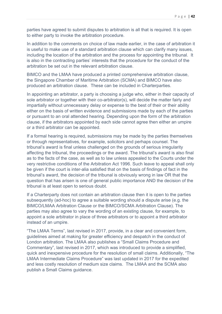parties have agreed to submit disputes to arbitration is all that is required. It is open to either party to invoke the arbitration procedure.

In addition to the comments on choice of law made earlier, in the case of arbitration it is useful to make use of a standard arbitration clause which can clarify many issues, including the location of the arbitration and the process for appointing the tribunal. It is also in the contracting parties' interests that the procedure for the conduct of the arbitration be set out in the relevant arbitration clause.

BIMCO and the LMAA have produced a printed comprehensive arbitration clause, the Singapore Chamber of Maritime Arbitration (SCMA) and BIMCO have also produced an arbitration clause. These can be included in Charterparties.

In appointing an arbitrator, a party is choosing a judge who, either in their capacity of sole arbitrator or together with their co-arbitrator(s), will decide the matter fairly and impartially without unnecessary delay or expense to the best of their or their ability either on the basis of written evidence and submissions made by each of the parties or pursuant to an oral attended hearing. Depending upon the form of the arbitration clause, if the arbitrators appointed by each side cannot agree then either an umpire or a third arbitrator can be appointed.

If a formal hearing is required, submissions may be made by the parties themselves or through representatives, for example, solicitors and perhaps counsel. The tribunal's award is final unless challenged on the grounds of serious irregularity affecting the tribunal, the proceedings or the award. The tribunal's award is also final as to the facts of the case, as well as to law unless appealed to the Courts under the very restrictive conditions of the Arbitration Act 1996. Such leave to appeal shall only be given if the court is inter-alia satisfied that on the basis of findings of fact in the tribunal's award, the decision of the tribunal is obviously wrong in law OR that the question that has arisen is one of general public importance AND the decision of the tribunal is at least open to serious doubt.

If a Charterparty does not contain an arbitration clause then it is open to the parties subsequently (ad-hoc) to agree a suitable wording should a dispute arise (e.g. the BIMCO/LMAA Arbitration Clause or the BIMCO/SCMA Arbitration Clause). The parties may also agree to vary the wording of an existing clause, for example, to appoint a sole arbitrator in place of three arbitrators or to appoint a third arbitrator instead of an umpire.

"The LMAA Terms", last revised in 2017, provide, in a clear and convenient form, guidelines aimed at making for greater efficiency and despatch in the conduct of London arbitration. The LMAA also publishes a "Small Claims Procedure and Commentary", last revised in 2017, which was introduced to provide a simplified, quick and inexpensive procedure for the resolution of small claims. Additionally, "The LMAA Intermediate Claims Procedure" was last updated in 2017 for the expedited and less costly resolution of medium size claims. The LMAA and the SCMA also publish a Small Claims guidance.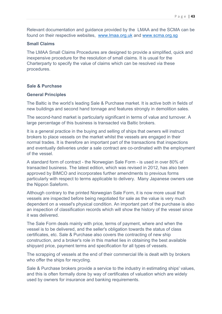Relevant documentation and guidance provided by the LMAA and the SCMA can be found on their respective websites, www.lmaa.org.uk and www.scma.org.sg

#### **Small Claims**

The LMAA Small Claims Procedures are designed to provide a simplified, quick and inexpensive procedure for the resolution of small claims. It is usual for the Charterparty to specify the value of claims which can be resolved via these procedures.

## **Sale & Purchase**

#### **General Principles**

The Baltic is the world's leading Sale & Purchase market. It is active both in fields of new buildings and second hand tonnage and features strongly in demolition sales.

The second-hand market is particularly significant in terms of value and turnover. A large percentage of this business is transacted via Baltic brokers.

It is a general practice in the buying and selling of ships that owners will instruct brokers to place vessels on the market whilst the vessels are engaged in their normal trades. It is therefore an important part of the transactions that inspections and eventually deliveries under a sale contract are co-ordinated with the employment of the vessel.

A standard form of contract - the Norwegian Sale Form - is used in over 80% of transacted business. The latest edition, which was revised in 2012, has also been approved by BIMCO and incorporates further amendments to previous forms particularly with respect to terms applicable to delivery. Many Japanese owners use the Nippon Saleform.

Although contrary to the printed Norwegian Sale Form, it is now more usual that vessels are inspected before being negotiated for sale as the value is very much dependent on a vessel's physical condition. An important part of the purchase is also an inspection of classification records which will show the history of the vessel since it was delivered.

The Sale Form deals mainly with price, terms of payment, where and when the vessel is to be delivered, and the seller's obligation towards the status of class certificates, etc. Sale & Purchase also covers the contracting of new ship construction, and a broker's role in this market lies in obtaining the best available shipyard price, payment terms and specification for all types of vessels.

The scrapping of vessels at the end of their commercial life is dealt with by brokers who offer the ships for recycling.

Sale & Purchase brokers provide a service to the industry in estimating ships' values, and this is often formally done by way of certificates of valuation which are widely used by owners for insurance and banking requirements.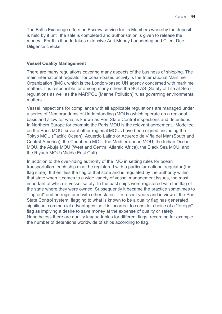The Baltic Exchange offers an Escrow service for its Members whereby the deposit is held by it until the sale is completed and authorisation is given to release the money. For this it undertakes extensive Anti-Money Laundering and Client Due Diligence checks.

#### **Vessel Quality Management**

There are many regulations covering many aspects of the business of shipping. The main international regulator for ocean-based activity is the International Maritime Organization (IMO), which is the London-based UN agency concerned with maritime matters. It is responsible for among many others the SOLAS (Safety of Life at Sea) regulations as well as the MARPOL (Marine Pollution) rules governing environmental matters.

Vessel inspections for compliance with all applicable regulations are managed under a series of Memorandums of Understanding (MOUs) which operate on a regional basis and allow for what is known as Port State Control inspections and detentions. In Northern Europe for example the Paris MOU is the relevant agreement. Modelled on the Paris MOU, several other regional MOUs have been signed, including the Tokyo MOU (Pacific Ocean), Acuerdo Latino or Acuerdo de Viña del Mar (South and Central America), the Caribbean MOU, the Mediterranean MOU, the Indian Ocean MOU, the Abuja MOU (West and Central Atlantic Africa), the Black Sea MOU, and the Riyadh MOU (Middle East Gulf).

In addition to the over-riding authority of the IMO in setting rules for ocean transportation, each ship must be registered with a particular national regulator (the flag state). It then flies the flag of that state and is regulated by the authority within that state when it comes to a wide variety of vessel management issues, the most important of which is vessel safety. In the past ships were registered with the flag of the state where they were owned. Subsequently it became the practice sometimes to "flag out" and be registered with other states. In recent years and in view of the Port State Control system, flagging to what is known to be a quality flag has generated significant commercial advantages, so it is incorrect to consider choice of a "foreign" flag as implying a desire to save money at the expense of quality or safety. Nonetheless there are quality league tables for different flags, recording for example the number of detentions worldwide of ships according to flag.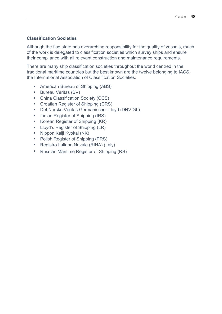## **Classification Societies**

Although the flag state has overarching responsibility for the quality of vessels, much of the work is delegated to classification societies which survey ships and ensure their compliance with all relevant construction and maintenance requirements.

There are many ship classification societies throughout the world centred in the traditional maritime countries but the best known are the twelve belonging to IACS, the International Association of Classification Societies.

- American Bureau of Shipping (ABS)
- Bureau Veritas (BV)
- China Classification Society (CCS)
- Croatian Register of Shipping (CRS)
- Det Norske Veritas Germanischer Lloyd (DNV GL)
- Indian Register of Shipping (IRS)
- Korean Register of Shipping (KR)
- Lloyd's Register of Shipping (LR)
- Nippon Kaiji Kyokai (NK)
- Polish Register of Shipping (PRS)
- Registro Italiano Navale (RINA) (Italy)
- Russian Maritime Register of Shipping (RS)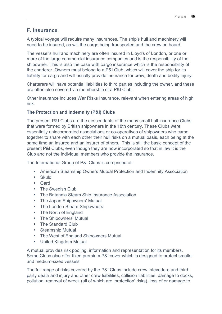# **F. Insurance**

A typical voyage will require many insurances. The ship's hull and machinery will need to be insured, as will the cargo being transported and the crew on board.

The vessel's hull and machinery are often insured in Lloyd's of London, or one or more of the large commercial insurance companies and is the responsibility of the shipowner. This is also the case with cargo insurance which is the responsibility of the charterer. Owners must belong to a P&I Club, which will cover the ship for its liability for cargo and will usually provide insurance for crew, death and bodily injury.

Charterers will have potential liabilities to third parties including the owner, and these are often also covered via membership of a P&I Club.

Other insurance includes War Risks Insurance, relevant when entering areas of high risk.

## **The Protection and Indemnity (P&I) Clubs**

The present P&I Clubs are the descendants of the many small hull insurance Clubs that were formed by British shipowners in the 18th century. These Clubs were essentially unincorporated associations or co-operatives of shipowners who came together to share with each other their hull risks on a mutual basis, each being at the same time an insured and an insurer of others. This is still the basic concept of the present P&I Clubs, even though they are now incorporated so that in law it is the Club and not the individual members who provide the insurance.

The International Group of P&I Clubs is comprised of:

- American Steamship Owners Mutual Protection and Indemnity Association
- Skuld
- Gard
- The Swedish Club
- The Britannia Steam Ship Insurance Association
- The Japan Shipowners' Mutual
- The London Steam-Shipowners
- The North of England
- The Shipowners' Mutual
- The Standard Club
- Steamship Mutual
- The West of England Shipowners Mutual
- United Kingdom Mutual

A mutual provides risk pooling, information and representation for its members. Some Clubs also offer fixed premium P&I cover which is designed to protect smaller and medium-sized vessels.

The full range of risks covered by the P&I Clubs include crew, stevedore and third party death and injury and other crew liabilities, collision liabilities, damage to docks, pollution, removal of wreck (all of which are 'protection' risks), loss of or damage to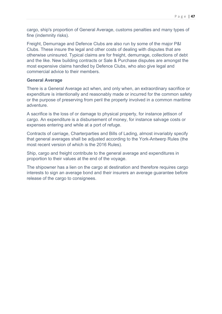cargo, ship's proportion of General Average, customs penalties and many types of fine (indemnity risks).

Freight, Demurrage and Defence Clubs are also run by some of the major P&I Clubs. These insure the legal and other costs of dealing with disputes that are otherwise uninsured. Typical claims are for freight, demurrage, collections of debt and the like. New building contracts or Sale & Purchase disputes are amongst the most expensive claims handled by Defence Clubs, who also give legal and commercial advice to their members.

#### **General Average**

There is a General Average act when, and only when, an extraordinary sacrifice or expenditure is intentionally and reasonably made or incurred for the common safety or the purpose of preserving from peril the property involved in a common maritime adventure.

A sacrifice is the loss of or damage to physical property, for instance jettison of cargo. An expenditure is a disbursement of money, for instance salvage costs or expenses entering and while at a port of refuge.

Contracts of carriage, Charterparties and Bills of Lading, almost invariably specify that general averages shall be adjusted according to the York-Antwerp Rules (the most recent version of which is the 2016 Rules).

Ship, cargo and freight contribute to the general average and expenditures in proportion to their values at the end of the voyage.

The shipowner has a lien on the cargo at destination and therefore requires cargo interests to sign an average bond and their insurers an average guarantee before release of the cargo to consignees.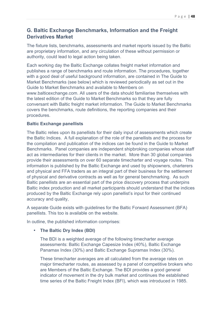# **G. Baltic Exchange Benchmarks, Information and the Freight Derivatives Market**

The fixture lists, benchmarks, assessments and market reports issued by the Baltic are proprietary information, and any circulation of these without permission or authority, could lead to legal action being taken.

Each working day the Baltic Exchange collates freight market information and publishes a range of benchmarks and route information. The procedures, together with a good deal of useful background information, are contained in The Guide to Market Benchmarks (see below) which is reviewed periodically as set out in the Guide to Market Benchmarks and available to Members on www.balticexchange.com. All users of the data should familiarise themselves with the latest edition of the Guide to Market Benchmarks so that they are fully conversant with Baltic freight market information. The Guide to Market Benchmarks covers the benchmarks, route definitions, the reporting companies and their procedures.

## **Baltic Exchange panellists**

The Baltic relies upon its panellists for their daily input of assessments which create the Baltic Indices. A full explanation of the role of the panellists and the process for the compilation and publication of the indices can be found in the Guide to Market Benchmarks. Panel companies are independent shipbroking companies whose staff act as intermediaries for their clients in the market. More than 30 global companies provide their assessments on over 60 separate timecharter and voyage routes. This information is published by the Baltic Exchange and used by shipowners, charterers and physical and FFA traders as an integral part of their business for the settlement of physical and derivative contracts as well as for general benchmarking. As such Baltic panellists are an essential part of the price discovery process that underpins Baltic index production and all market participants should understand that the indices produced by the Baltic Exchange rely upon panellist's input for their continued accuracy and quality,

A separate Guide exists with guidelines for the Baltic Forward Assessment (BFA) panellists. This too is available on the website.

In outline, the published information comprises:

## • **The Baltic Dry Index (BDI)**

The BDI is a weighted average of the following timecharter average assessments: Baltic Exchange Capesize Index (40%), Baltic Exchange Panamax Index (30%) and Baltic Exchange Supramax Index (30%).

These timecharter averages are all calculated from the average rates on major timecharter routes, as assessed by a panel of competitive brokers who are Members of the Baltic Exchange. The BDI provides a good general indicator of movement in the dry bulk market and continues the established time series of the Baltic Freight Index (BFI), which was introduced in 1985.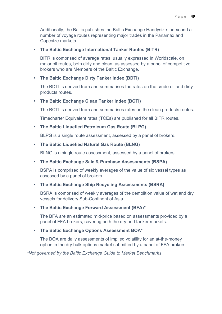Additionally, the Baltic publishes the Baltic Exchange Handysize Index and a number of voyage routes representing major trades in the Panamax and Capesize markets.

#### • **The Baltic Exchange International Tanker Routes (BITR)**

BITR is comprised of average rates, usually expressed in Worldscale, on major oil routes, both dirty and clean, as assessed by a panel of competitive brokers who are Members of the Baltic Exchange.

#### • **The Baltic Exchange Dirty Tanker Index (BDTI)**

The BDTI is derived from and summarises the rates on the crude oil and dirty products routes.

#### • **The Baltic Exchange Clean Tanker Index (BCTI)**

The BCTI is derived from and summarises rates on the clean products routes.

Timecharter Equivalent rates (TCEs) are published for all BITR routes.

#### • **The Baltic Liquefied Petroleum Gas Route (BLPG)**

BLPG is a single route assessment, assessed by a panel of brokers.

#### • **The Baltic Liquefied Natural Gas Route (BLNG)**

BLNG is a single route assessment, assessed by a panel of brokers.

#### • **The Baltic Exchange Sale & Purchase Assessments (BSPA)**

BSPA is comprised of weekly averages of the value of six vessel types as assessed by a panel of brokers.

#### • **The Baltic Exchange Ship Recycling Assessments (BSRA)**

BSRA is comprised of weekly averages of the demolition value of wet and dry vessels for delivery Sub-Continent of Asia.

#### • **The Baltic Exchange Forward Assessment (BFA)\***

The BFA are an estimated mid-price based on assessments provided by a panel of FFA brokers, covering both the dry and tanker markets.

#### • **The Baltic Exchange Options Assessment BOA\***

The BOA are daily assessments of implied volatility for an at-the-money option in the dry bulk options market submitted by a panel of FFA brokers.

*\*Not governed by the Baltic Exchange Guide to Market Benchmarks*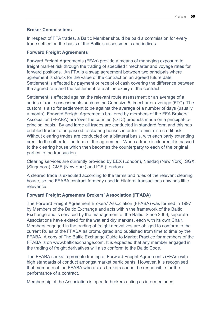## **Broker Commissions**

In respect of FFA trades, a Baltic Member should be paid a commission for every trade settled on the basis of the Baltic's assessments and indices.

## **Forward Freight Agreements**

Forward Freight Agreements (FFAs) provide a means of managing exposure to freight market risk through the trading of specified timecharter and voyage rates for forward positions. An FFA is a swap agreement between two principals where agreement is struck for the value of the contract on an agreed future date. Settlement is effected by payment or receipt of cash covering the difference between the agreed rate and the settlement rate at the expiry of the contract.

Settlement is effected against the relevant route assessment or an average of a series of route assessments such as the Capesize 5 timecharter average (5TC). The custom is also for settlement to be against the average of a number of days (usually a month). Forward Freight Agreements brokered by members of the FFA Brokers' Association (FFABA) are 'over the counter' (OTC) products made on a principal-toprincipal basis. By and large all trades are conducted in standard form and this has enabled trades to be passed to clearing houses in order to minimise credit risk. Without clearing trades are conducted on a bilateral basis, with each party extending credit to the other for the term of the agreement. When a trade is cleared it is passed to the clearing house which then becomes the counterparty to each of the original parties to the transaction.

Clearing services are currently provided by EEX (London), Nasdaq (New York), SGX (Singapore), CME (New York) and ICE (London).

A cleared trade is executed according to the terms and rules of the relevant clearing house, so the FFABA contract formerly used in bilateral transactions now has little relevance.

## **Forward Freight Agreement Brokers' Association (FFABA)**

The Forward Freight Agreement Brokers' Association (FFABA) was formed in 1997 by Members of the Baltic Exchange and acts within the framework of the Baltic Exchange and is serviced by the management of the Baltic. Since 2006, separate Associations have existed for the wet and dry markets, each with its own Chair. Members engaged in the trading of freight derivatives are obliged to conform to the current Rules of the FFABA as promulgated and published from time to time by the FFABA. A copy of The Baltic Exchange Guide to Market Practice for members of the FFABA is on www.balticexchange.com. It is expected that any member engaged in the trading of freight derivatives will also conform to the Baltic Code.

The FFABA seeks to promote trading of Forward Freight Agreements (FFAs) with high standards of conduct amongst market participants. However, it is recognised that members of the FFABA who act as brokers cannot be responsible for the performance of a contract.

Membership of the Association is open to brokers acting as intermediaries.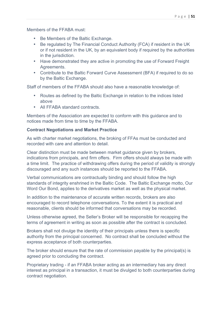Members of the FFABA must:

- Be Members of the Baltic Exchange.
- Be regulated by The Financial Conduct Authority (FCA) if resident in the UK or if not resident in the UK, by an equivalent body if required by the authorities in the jurisdiction.
- Have demonstrated they are active in promoting the use of Forward Freight Agreements.
- Contribute to the Baltic Forward Curve Assessment (BFA) if required to do so by the Baltic Exchange.

Staff of members of the FFABA should also have a reasonable knowledge of:

- Routes as defined by the Baltic Exchange in relation to the indices listed above
- All FFABA standard contracts.

Members of the Association are expected to conform with this guidance and to notices made from time to time by the FFABA.

## **Contract Negotiations and Market Practice**

As with charter market negotiations, the broking of FFAs must be conducted and recorded with care and attention to detail.

Clear distinction must be made between market guidance given by brokers, indications from principals, and firm offers. Firm offers should always be made with a time limit. The practice of withdrawing offers during the period of validity is strongly discouraged and any such instances should be reported to the FFABA.

Verbal communications are contractually binding and should follow the high standards of integrity enshrined in the Baltic Code. The Baltic Exchange motto, Our Word Our Bond, applies to the derivatives market as well as the physical market.

In addition to the maintenance of accurate written records, brokers are also encouraged to record telephone conversations. To the extent it is practical and reasonable, clients should be informed that conversations may be recorded.

Unless otherwise agreed, the Seller's Broker will be responsible for recapping the terms of agreement in writing as soon as possible after the contract is concluded.

Brokers shall not divulge the identity of their principals unless there is specific authority from the principal concerned. No contract shall be concluded without the express acceptance of both counterparties.

The broker should ensure that the rate of commission payable by the principal(s) is agreed prior to concluding the contract.

Proprietary trading - if an FFABA broker acting as an intermediary has any direct interest as principal in a transaction, it must be divulged to both counterparties during contract negotiation.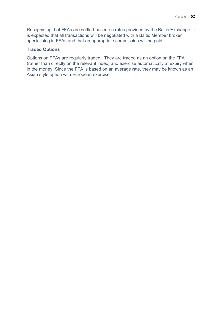Recognising that FFAs are settled based on rates provided by the Baltic Exchange, it is expected that all transactions will be negotiated with a Baltic Member broker specialising in FFAs and that an appropriate commission will be paid.

#### **Traded Options**

Options on FFAs are regularly traded. They are traded as an option on the FFA (rather than directly on the relevant index) and exercise automatically at expiry when in the money. Since the FFA is based on an average rate, they may be known as an Asian style option with European exercise.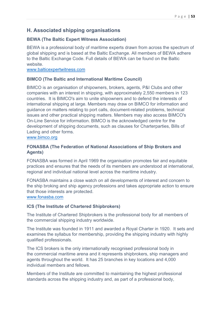# **H. Associated shipping organisations**

## **BEWA (The Baltic Expert Witness Association)**

BEWA is a professional body of maritime experts drawn from across the spectrum of global shipping and is based at the Baltic Exchange. All members of BEWA adhere to the Baltic Exchange Code. Full details of BEWA can be found on the Baltic website.

www.balticexpertwitness.com

## **BIMCO (The Baltic and International Maritime Council)**

BIMCO is an organisation of shipowners, brokers, agents, P&I Clubs and other companies with an interest in shipping, with approximately 2,550 members in 123 countries. It is BIMCO's aim to unite shipowners and to defend the interests of international shipping at large. Members may draw on BIMCO for information and guidance on matters relating to port calls, document-related problems, technical issues and other practical shipping matters. Members may also access BIMCO's On-Line Service for information. BIMCO is the acknowledged centre for the development of shipping documents, such as clauses for Charterparties, Bills of Lading and other forms.

## www.bimco.org

## **FONASBA (The Federation of National Associations of Ship Brokers and Agents)**

FONASBA was formed in April 1969 the organisation promotes fair and equitable practices and ensures that the needs of its members are understood at international, regional and individual national level across the maritime industry.

FONASBA maintains a close watch on all developments of interest and concern to the ship broking and ship agency professions and takes appropriate action to ensure that those interests are protected.

## www.fonasba.com

## **ICS (The Institute of Chartered Shipbrokers)**

The Institute of Chartered Shipbrokers is the professional body for all members of the commercial shipping industry worldwide.

The Institute was founded in 1911 and awarded a Royal Charter in 1920. It sets and examines the syllabus for membership, providing the shipping industry with highly qualified professionals.

The ICS brokers is the only internationally recognised professional body in the commercial maritime arena and it represents shipbrokers, ship managers and agents throughout the world. It has 25 branches in key locations and 4,000 individual members and fellows.

Members of the Institute are committed to maintaining the highest professional standards across the shipping industry and, as part of a professional body,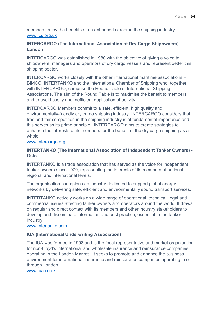members enjoy the benefits of an enhanced career in the shipping industry. www.ics.org.uk

## **INTERCARGO (The International Association of Dry Cargo Shipowners) - London**

INTERCARGO was established in 1980 with the objective of giving a voice to shipowners, managers and operators of dry cargo vessels and represent better this shipping sector.

INTERCARGO works closely with the other international maritime associations – BIMCO, INTERTANKO and the International Chamber of Shipping who, together with INTERCARGO, comprise the Round Table of International Shipping Associations. The aim of the Round Table is to maximise the benefit to members and to avoid costly and inefficient duplication of activity.

INTERCARGO Members commit to a safe, efficient, high quality and environmentally-friendly dry cargo shipping industry. INTERCARGO considers that free and fair competition in the shipping industry is of fundamental importance and this serves as its prime principle. INTERCARGO aims to create strategies to enhance the interests of its members for the benefit of the dry cargo shipping as a whole.

#### www.intercargo.org

## **INTERTANKO (The International Association of Independent Tanker Owners) - Oslo**

INTERTANKO is a trade association that has served as the voice for independent tanker owners since 1970, representing the interests of its members at national, regional and international levels.

The organisation champions an industry dedicated to support global energy networks by delivering safe, efficient and environmentally sound transport services.

INTERTANKO actively works on a wide range of operational, technical, legal and commercial issues affecting tanker owners and operators around the world. It draws on regular and direct contact with its members and other industry stakeholders to develop and disseminate information and best practice, essential to the tanker industry.

www.intertanko.com

## **IUA (International Underwriting Association)**

The IUA was formed in 1998 and is the focal representative and market organisation for non-Lloyd's international and wholesale insurance and reinsurance companies operating in the London Market.It seeks to promote and enhance the business environment for international insurance and reinsurance companies operating in or through London.

www.iua.co.uk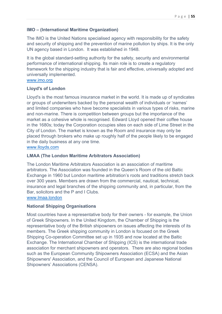## **IMO – (International Maritime Organization)**

The IMO is the United Nations specialised agency with responsibility for the safety and security of shipping and the prevention of marine pollution by ships. It is the only UN agency based in London. It was established in 1948.

It is the global standard-setting authority for the safety, security and environmental performance of international shipping. Its main role is to create a regulatory framework for the shipping industry that is fair and effective, universally adopted and universally implemented.

## www.imo.org

#### **Lloyd's of London**

Lloyd's is the most famous insurance market in the world. It is made up of syndicates or groups of underwriters backed by the personal wealth of individuals or 'names' and limited companies who have become specialists in various types of risks, marine and non-marine. There is competition between groups but the importance of the market as a cohesive whole is recognised. Edward Lloyd opened their coffee house in the 1680s; today the Corporation occupies sites on each side of Lime Street in the City of London. The market is known as the Room and insurance may only be placed through brokers who make up roughly half of the people likely to be engaged in the daily business at any one time.

www.lloyds.com

## **LMAA (The London Maritime Arbitrators Association)**

The London Maritime Arbitrators Association is an association of maritime arbitrators. The Association was founded in the Queen's Room of the old Baltic Exchange in 1960 but London maritime arbitration's roots and traditions stretch back over 300 years. Members are drawn from the commercial, nautical, technical, insurance and legal branches of the shipping community and, in particular, from the Bar, solicitors and the P and I Clubs.

www.lmaa.london

#### **National Shipping Organisations**

Most countries have a representative body for their owners - for example, the Union of Greek Shipowners. In the United Kingdom, the Chamber of Shipping is the representative body of the British shipowners on issues affecting the interests of its members. The Greek shipping community in London is focused on the Greek Shipping Co-operation Committee set up in 1935 and now located at the Baltic Exchange. The International Chamber of Shipping (ICS) is the international trade association for merchant shipowners and operators. There are also regional bodies such as the European Community Shipowners Association (ECSA) and the Asian Shipowners' Association, and the Council of European and Japanese National Shipowners' Associations (CENSA).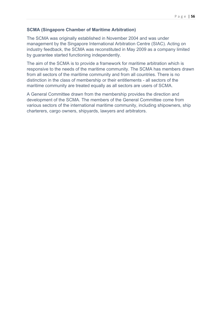#### **SCMA (Singapore Chamber of Maritime Arbitration)**

The SCMA was originally established in November 2004 and was under management by the Singapore International Arbitration Centre (SIAC). Acting on industry feedback, the SCMA was reconstituted in May 2009 as a company limited by guarantee started functioning independently.

The aim of the SCMA is to provide a framework for maritime arbitration which is responsive to the needs of the maritime community. The SCMA has members drawn from all sectors of the maritime community and from all countries. There is no distinction in the class of membership or their entitlements - all sectors of the maritime community are treated equally as all sectors are users of SCMA.

A General Committee drawn from the membership provides the direction and development of the SCMA. The members of the General Committee come from various sectors of the international maritime community, including shipowners, ship charterers, cargo owners, shipyards, lawyers and arbitrators.